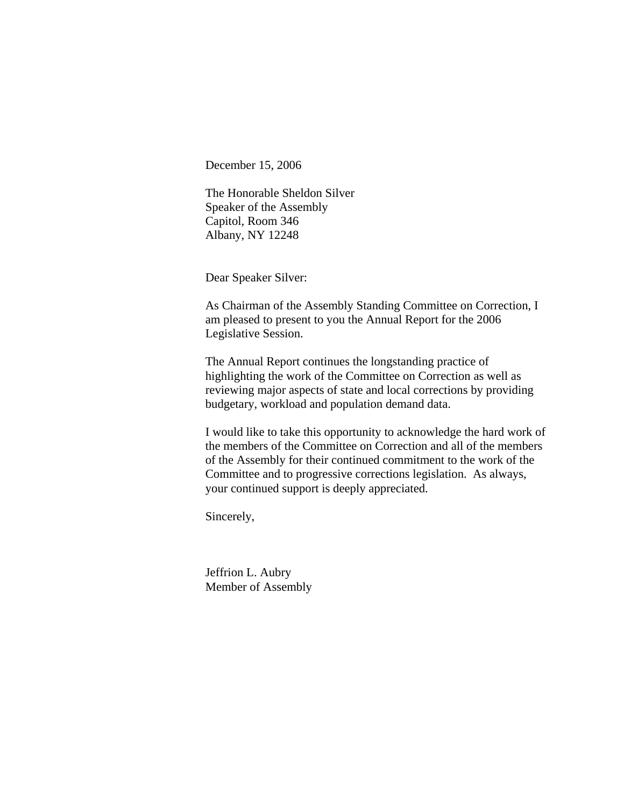December 15, 2006

The Honorable Sheldon Silver Speaker of the Assembly Capitol, Room 346 Albany, NY 12248

Dear Speaker Silver:

As Chairman of the Assembly Standing Committee on Correction, I am pleased to present to you the Annual Report for the 2006 Legislative Session.

The Annual Report continues the longstanding practice of highlighting the work of the Committee on Correction as well as reviewing major aspects of state and local corrections by providing budgetary, workload and population demand data.

I would like to take this opportunity to acknowledge the hard work of the members of the Committee on Correction and all of the members of the Assembly for their continued commitment to the work of the Committee and to progressive corrections legislation. As always, your continued support is deeply appreciated.

Sincerely,

Jeffrion L. Aubry Member of Assembly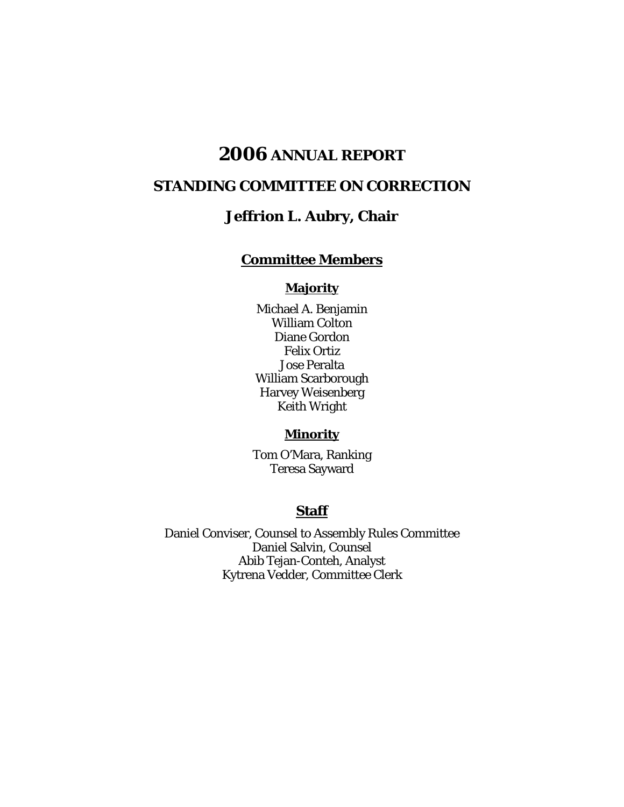# **2006 ANNUAL REPORT**

# **STANDING COMMITTEE ON CORRECTION**

# **Jeffrion L. Aubry, Chair**

# **Committee Members**

#### **Majority**

Michael A. Benjamin William Colton Diane Gordon Felix Ortiz Jose Peralta William Scarborough Harvey Weisenberg Keith Wright

# **Minority**

Tom O'Mara, Ranking Teresa Sayward

#### **Staff**

Daniel Conviser, Counsel to Assembly Rules Committee Daniel Salvin, Counsel Abib Tejan-Conteh, Analyst Kytrena Vedder, Committee Clerk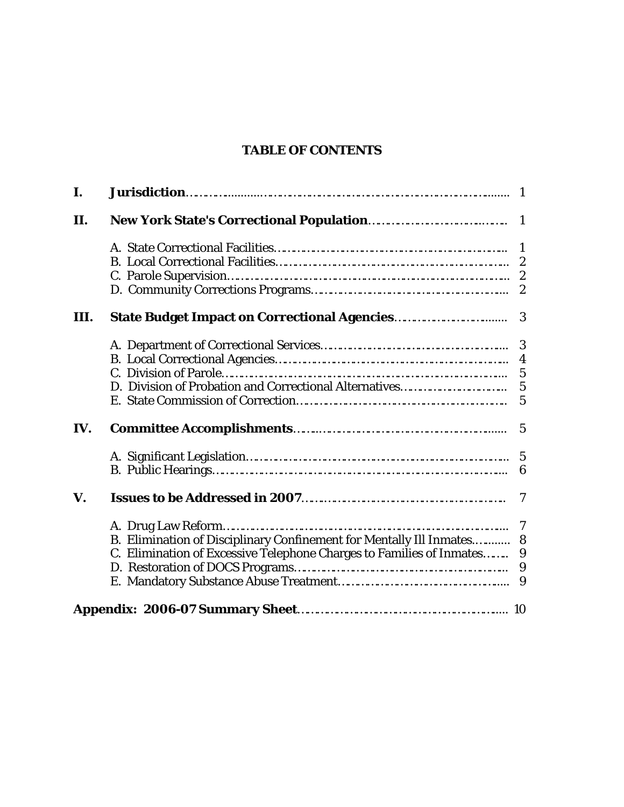# **TABLE OF CONTENTS**

| I.   |                                                                       |                  |
|------|-----------------------------------------------------------------------|------------------|
| П.   |                                                                       |                  |
|      |                                                                       |                  |
|      |                                                                       |                  |
|      |                                                                       |                  |
|      |                                                                       |                  |
| III. | <b>State Budget Impact on Correctional Agencies</b>                   | 3                |
|      |                                                                       | $\boldsymbol{3}$ |
|      |                                                                       |                  |
|      |                                                                       | $\overline{5}$   |
|      |                                                                       |                  |
|      |                                                                       |                  |
| IV.  |                                                                       |                  |
|      |                                                                       | $5\overline{)}$  |
|      |                                                                       | 6                |
| V.   |                                                                       | $\overline{7}$   |
|      |                                                                       | 7                |
|      | B. Elimination of Disciplinary Confinement for Mentally Ill Inmates 8 |                  |
|      | C. Elimination of Excessive Telephone Charges to Families of Inmates  | 9                |
|      |                                                                       |                  |
|      |                                                                       |                  |
|      |                                                                       |                  |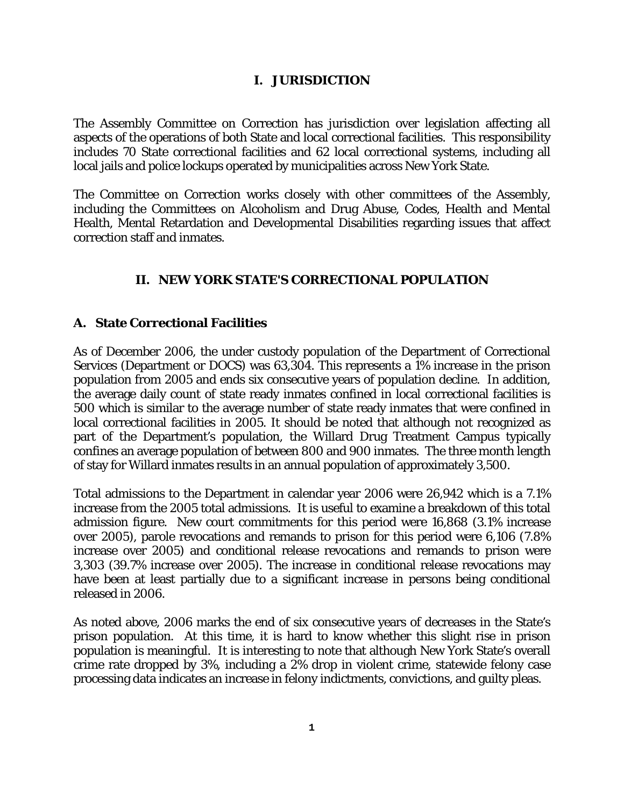#### **I. JURISDICTION**

The Assembly Committee on Correction has jurisdiction over legislation affecting all aspects of the operations of both State and local correctional facilities. This responsibility includes 70 State correctional facilities and 62 local correctional systems, including all local jails and police lockups operated by municipalities across New York State.

The Committee on Correction works closely with other committees of the Assembly, including the Committees on Alcoholism and Drug Abuse, Codes, Health and Mental Health, Mental Retardation and Developmental Disabilities regarding issues that affect correction staff and inmates.

#### **II. NEW YORK STATE'S CORRECTIONAL POPULATION**

#### **A. State Correctional Facilities**

As of December 2006, the under custody population of the Department of Correctional Services (Department or DOCS) was 63,304. This represents a 1% increase in the prison population from 2005 and ends six consecutive years of population decline. In addition, the average daily count of state ready inmates confined in local correctional facilities is 500 which is similar to the average number of state ready inmates that were confined in local correctional facilities in 2005. It should be noted that although not recognized as part of the Department's population, the Willard Drug Treatment Campus typically confines an average population of between 800 and 900 inmates. The three month length of stay for Willard inmates results in an annual population of approximately 3,500.

Total admissions to the Department in calendar year 2006 were 26,942 which is a 7.1% increase from the 2005 total admissions. It is useful to examine a breakdown of this total admission figure. New court commitments for this period were 16,868 (3.1% increase over 2005), parole revocations and remands to prison for this period were 6,106 (7.8% increase over 2005) and conditional release revocations and remands to prison were 3,303 (39.7% increase over 2005). The increase in conditional release revocations may have been at least partially due to a significant increase in persons being conditional released in 2006.

As noted above, 2006 marks the end of six consecutive years of decreases in the State's prison population. At this time, it is hard to know whether this slight rise in prison population is meaningful. It is interesting to note that although New York State's overall crime rate dropped by 3%, including a 2% drop in violent crime, statewide felony case processing data indicates an increase in felony indictments, convictions, and guilty pleas.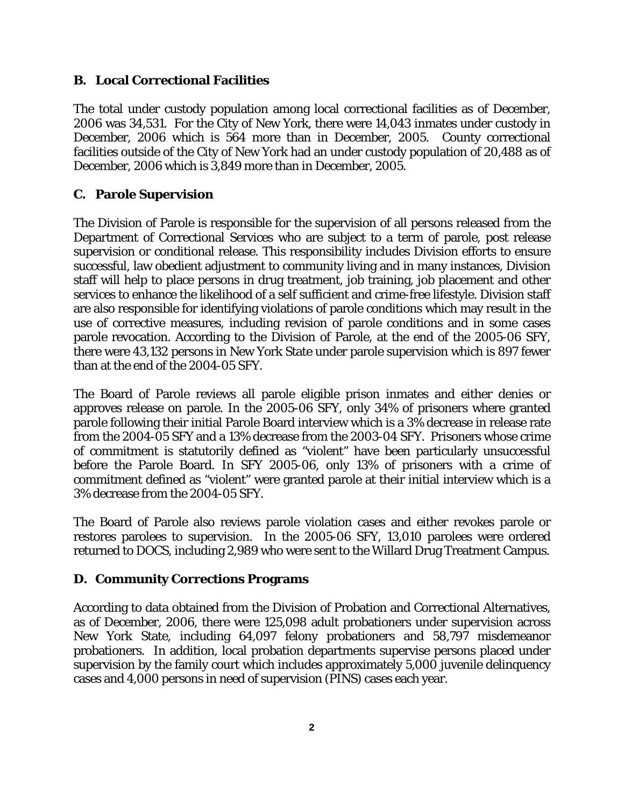#### **B. Local Correctional Facilities**

The total under custody population among local correctional facilities as of December, 2006 was 34,531. For the City of New York, there were 14,043 inmates under custody in December, 2006 which is 564 more than in December, 2005. County correctional facilities outside of the City of New York had an under custody population of 20,488 as of December, 2006 which is 3,849 more than in December, 2005.

#### **C. Parole Supervision**

The Division of Parole is responsible for the supervision of all persons released from the Department of Correctional Services who are subject to a term of parole, post release supervision or conditional release. This responsibility includes Division efforts to ensure successful, law obedient adjustment to community living and in many instances, Division staff will help to place persons in drug treatment, job training, job placement and other services to enhance the likelihood of a self sufficient and crime-free lifestyle. Division staff are also responsible for identifying violations of parole conditions which may result in the use of corrective measures, including revision of parole conditions and in some cases parole revocation. According to the Division of Parole, at the end of the 2005-06 SFY, there were 43,132 persons in New York State under parole supervision which is 897 fewer than at the end of the 2004-05 SFY.

The Board of Parole reviews all parole eligible prison inmates and either denies or approves release on parole. In the 2005-06 SFY, only 34% of prisoners where granted parole following their initial Parole Board interview which is a 3% decrease in release rate from the 2004-05 SFY and a 13% decrease from the 2003-04 SFY. Prisoners whose crime of commitment is statutorily defined as "violent" have been particularly unsuccessful before the Parole Board. In SFY 2005-06, only 13% of prisoners with a crime of commitment defined as "violent" were granted parole at their initial interview which is a 3% decrease from the 2004-05 SFY.

The Board of Parole also reviews parole violation cases and either revokes parole or restores parolees to supervision. In the 2005-06 SFY, 13,010 parolees were ordered returned to DOCS, including 2,989 who were sent to the Willard Drug Treatment Campus.

#### **D. Community Corrections Programs**

According to data obtained from the Division of Probation and Correctional Alternatives, as of December, 2006, there were 125,098 adult probationers under supervision across New York State, including 64,097 felony probationers and 58,797 misdemeanor probationers. In addition, local probation departments supervise persons placed under supervision by the family court which includes approximately 5,000 juvenile delinquency cases and 4,000 persons in need of supervision (PINS) cases each year.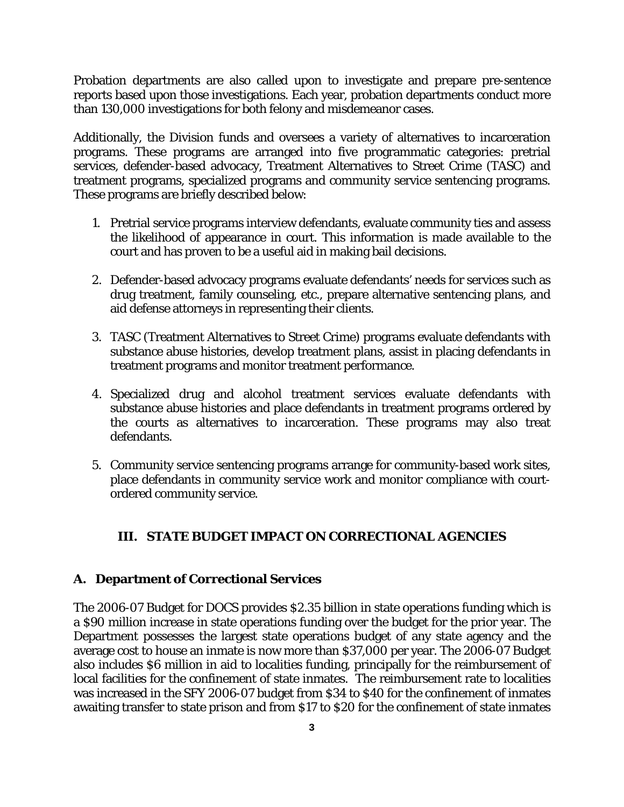Probation departments are also called upon to investigate and prepare pre-sentence reports based upon those investigations. Each year, probation departments conduct more than 130,000 investigations for both felony and misdemeanor cases.

Additionally, the Division funds and oversees a variety of alternatives to incarceration programs. These programs are arranged into five programmatic categories: pretrial services, defender-based advocacy, Treatment Alternatives to Street Crime (TASC) and treatment programs, specialized programs and community service sentencing programs. These programs are briefly described below:

- 1. Pretrial service programs interview defendants, evaluate community ties and assess the likelihood of appearance in court. This information is made available to the court and has proven to be a useful aid in making bail decisions.
- 2. Defender-based advocacy programs evaluate defendants' needs for services such as drug treatment, family counseling, etc., prepare alternative sentencing plans, and aid defense attorneys in representing their clients.
- 3. TASC (Treatment Alternatives to Street Crime) programs evaluate defendants with substance abuse histories, develop treatment plans, assist in placing defendants in treatment programs and monitor treatment performance.
- 4. Specialized drug and alcohol treatment services evaluate defendants with substance abuse histories and place defendants in treatment programs ordered by the courts as alternatives to incarceration. These programs may also treat defendants.
- 5. Community service sentencing programs arrange for community-based work sites, place defendants in community service work and monitor compliance with courtordered community service.

# **III. STATE BUDGET IMPACT ON CORRECTIONAL AGENCIES**

#### **A. Department of Correctional Services**

The 2006-07 Budget for DOCS provides \$2.35 billion in state operations funding which is a \$90 million increase in state operations funding over the budget for the prior year. The Department possesses the largest state operations budget of any state agency and the average cost to house an inmate is now more than \$37,000 per year. The 2006-07 Budget also includes \$6 million in aid to localities funding, principally for the reimbursement of local facilities for the confinement of state inmates. The reimbursement rate to localities was increased in the SFY 2006-07 budget from \$34 to \$40 for the confinement of inmates awaiting transfer to state prison and from \$17 to \$20 for the confinement of state inmates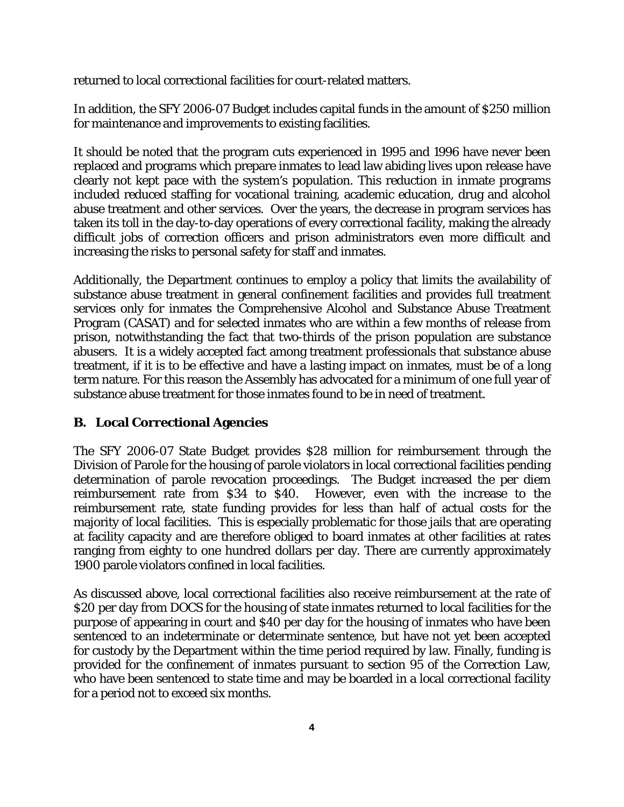returned to local correctional facilities for court-related matters.

In addition, the SFY 2006-07 Budget includes capital funds in the amount of \$250 million for maintenance and improvements to existing facilities.

It should be noted that the program cuts experienced in 1995 and 1996 have never been replaced and programs which prepare inmates to lead law abiding lives upon release have clearly not kept pace with the system's population. This reduction in inmate programs included reduced staffing for vocational training, academic education, drug and alcohol abuse treatment and other services. Over the years, the decrease in program services has taken its toll in the day-to-day operations of every correctional facility, making the already difficult jobs of correction officers and prison administrators even more difficult and increasing the risks to personal safety for staff and inmates.

Additionally, the Department continues to employ a policy that limits the availability of substance abuse treatment in general confinement facilities and provides full treatment services only for inmates the Comprehensive Alcohol and Substance Abuse Treatment Program (CASAT) and for selected inmates who are within a few months of release from prison, notwithstanding the fact that two-thirds of the prison population are substance abusers. It is a widely accepted fact among treatment professionals that substance abuse treatment, if it is to be effective and have a lasting impact on inmates, must be of a long term nature. For this reason the Assembly has advocated for a minimum of one full year of substance abuse treatment for those inmates found to be in need of treatment.

# **B. Local Correctional Agencies**

The SFY 2006-07 State Budget provides \$28 million for reimbursement through the Division of Parole for the housing of parole violators in local correctional facilities pending determination of parole revocation proceedings. The Budget increased the per diem reimbursement rate from \$34 to \$40. However, even with the increase to the reimbursement rate, state funding provides for less than half of actual costs for the majority of local facilities. This is especially problematic for those jails that are operating at facility capacity and are therefore obliged to board inmates at other facilities at rates ranging from eighty to one hundred dollars per day. There are currently approximately 1900 parole violators confined in local facilities.

As discussed above, local correctional facilities also receive reimbursement at the rate of \$20 per day from DOCS for the housing of state inmates returned to local facilities for the purpose of appearing in court and \$40 per day for the housing of inmates who have been sentenced to an indeterminate or determinate sentence, but have not yet been accepted for custody by the Department within the time period required by law. Finally, funding is provided for the confinement of inmates pursuant to section 95 of the Correction Law, who have been sentenced to state time and may be boarded in a local correctional facility for a period not to exceed six months.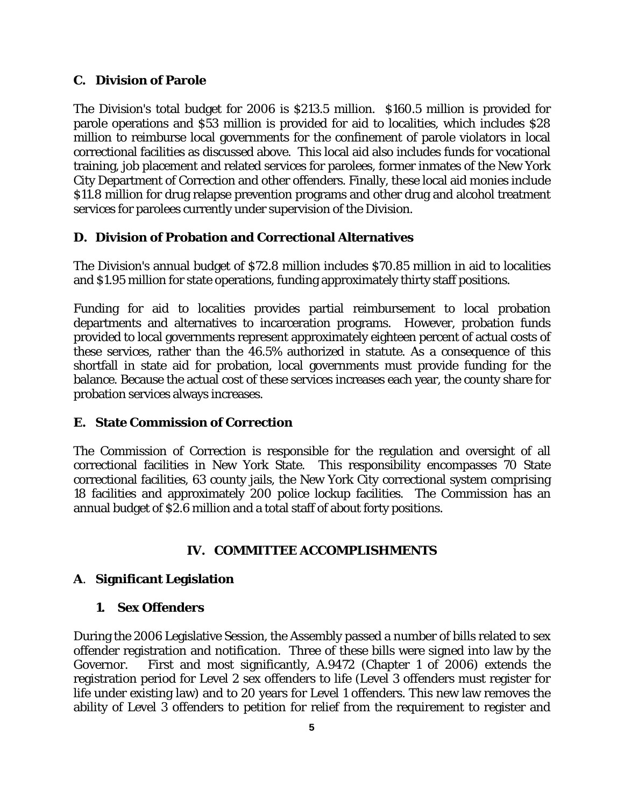#### **C. Division of Parole**

The Division's total budget for 2006 is \$213.5 million. \$160.5 million is provided for parole operations and \$53 million is provided for aid to localities, which includes \$28 million to reimburse local governments for the confinement of parole violators in local correctional facilities as discussed above. This local aid also includes funds for vocational training, job placement and related services for parolees, former inmates of the New York City Department of Correction and other offenders. Finally, these local aid monies include \$11.8 million for drug relapse prevention programs and other drug and alcohol treatment services for parolees currently under supervision of the Division.

#### **D. Division of Probation and Correctional Alternatives**

The Division's annual budget of \$72.8 million includes \$70.85 million in aid to localities and \$1.95 million for state operations, funding approximately thirty staff positions.

Funding for aid to localities provides partial reimbursement to local probation departments and alternatives to incarceration programs. However, probation funds provided to local governments represent approximately eighteen percent of actual costs of these services, rather than the 46.5% authorized in statute. As a consequence of this shortfall in state aid for probation, local governments must provide funding for the balance. Because the actual cost of these services increases each year, the county share for probation services always increases.

#### **E. State Commission of Correction**

The Commission of Correction is responsible for the regulation and oversight of all correctional facilities in New York State. This responsibility encompasses 70 State correctional facilities, 63 county jails, the New York City correctional system comprising 18 facilities and approximately 200 police lockup facilities. The Commission has an annual budget of \$2.6 million and a total staff of about forty positions.

#### **IV. COMMITTEE ACCOMPLISHMENTS**

#### **A**. **Significant Legislation**

#### **1. Sex Offenders**

During the 2006 Legislative Session, the Assembly passed a number of bills related to sex offender registration and notification. Three of these bills were signed into law by the Governor. First and most significantly, A.9472 (Chapter 1 of 2006) extends the registration period for Level 2 sex offenders to life (Level 3 offenders must register for life under existing law) and to 20 years for Level 1 offenders. This new law removes the ability of Level 3 offenders to petition for relief from the requirement to register and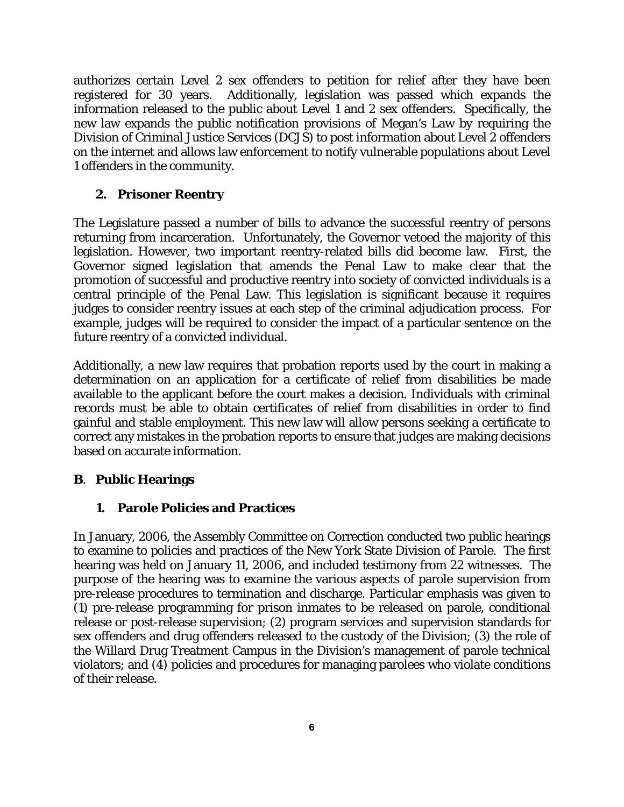authorizes certain Level 2 sex offenders to petition for relief after they have been registered for 30 years. Additionally, legislation was passed which expands the information released to the public about Level 1 and 2 sex offenders. Specifically, the new law expands the public notification provisions of Megan's Law by requiring the Division of Criminal Justice Services (DCJS) to post information about Level 2 offenders on the internet and allows law enforcement to notify vulnerable populations about Level 1 offenders in the community.

#### **2. Prisoner Reentry**

The Legislature passed a number of bills to advance the successful reentry of persons returning from incarceration. Unfortunately, the Governor vetoed the majority of this legislation. However, two important reentry-related bills did become law. First, the Governor signed legislation that amends the Penal Law to make clear that the promotion of successful and productive reentry into society of convicted individuals is a central principle of the Penal Law. This legislation is significant because it requires judges to consider reentry issues at each step of the criminal adjudication process. For example, judges will be required to consider the impact of a particular sentence on the future reentry of a convicted individual.

Additionally, a new law requires that probation reports used by the court in making a determination on an application for a certificate of relief from disabilities be made available to the applicant before the court makes a decision. Individuals with criminal records must be able to obtain certificates of relief from disabilities in order to find gainful and stable employment. This new law will allow persons seeking a certificate to correct any mistakes in the probation reports to ensure that judges are making decisions based on accurate information.

#### **B**. **Public Hearings**

#### **1. Parole Policies and Practices**

In January, 2006, the Assembly Committee on Correction conducted two public hearings to examine to policies and practices of the New York State Division of Parole. The first hearing was held on January 11, 2006, and included testimony from 22 witnesses. The purpose of the hearing was to examine the various aspects of parole supervision from pre-release procedures to termination and discharge. Particular emphasis was given to (1) pre-release programming for prison inmates to be released on parole, conditional release or post-release supervision; (2) program services and supervision standards for sex offenders and drug offenders released to the custody of the Division; (3) the role of the Willard Drug Treatment Campus in the Division's management of parole technical violators; and (4) policies and procedures for managing parolees who violate conditions of their release.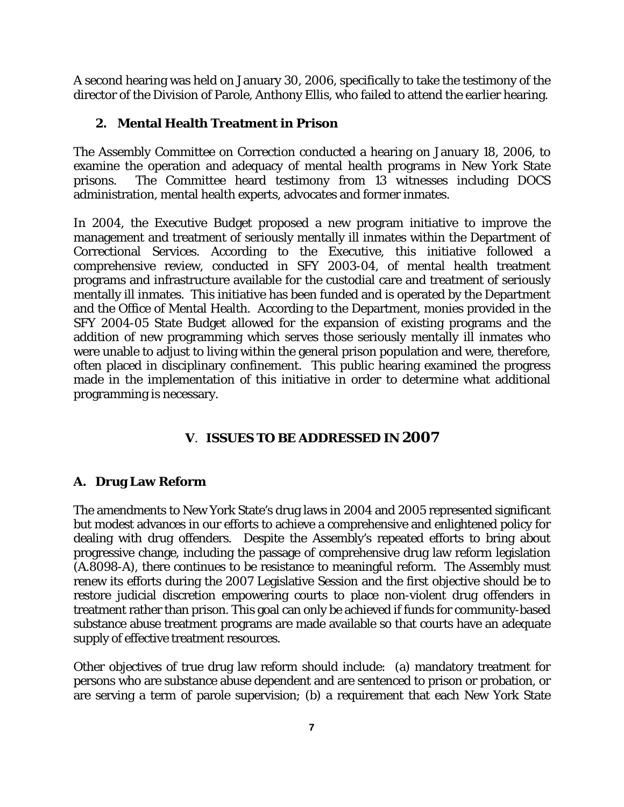A second hearing was held on January 30, 2006, specifically to take the testimony of the director of the Division of Parole, Anthony Ellis, who failed to attend the earlier hearing.

### **2. Mental Health Treatment in Prison**

The Assembly Committee on Correction conducted a hearing on January 18, 2006, to examine the operation and adequacy of mental health programs in New York State prisons. The Committee heard testimony from 13 witnesses including DOCS administration, mental health experts, advocates and former inmates.

In 2004, the Executive Budget proposed a new program initiative to improve the management and treatment of seriously mentally ill inmates within the Department of Correctional Services. According to the Executive, this initiative followed a comprehensive review, conducted in SFY 2003-04, of mental health treatment programs and infrastructure available for the custodial care and treatment of seriously mentally ill inmates. This initiative has been funded and is operated by the Department and the Office of Mental Health. According to the Department, monies provided in the SFY 2004-05 State Budget allowed for the expansion of existing programs and the addition of new programming which serves those seriously mentally ill inmates who were unable to adjust to living within the general prison population and were, therefore, often placed in disciplinary confinement. This public hearing examined the progress made in the implementation of this initiative in order to determine what additional programming is necessary.

# **V**. **ISSUES TO BE ADDRESSED IN 2007**

#### **A. Drug Law Reform**

The amendments to New York State's drug laws in 2004 and 2005 represented significant but modest advances in our efforts to achieve a comprehensive and enlightened policy for dealing with drug offenders. Despite the Assembly's repeated efforts to bring about progressive change, including the passage of comprehensive drug law reform legislation (A.8098-A), there continues to be resistance to meaningful reform. The Assembly must renew its efforts during the 2007 Legislative Session and the first objective should be to restore judicial discretion empowering courts to place non-violent drug offenders in treatment rather than prison. This goal can only be achieved if funds for community-based substance abuse treatment programs are made available so that courts have an adequate supply of effective treatment resources.

Other objectives of true drug law reform should include: (a) mandatory treatment for persons who are substance abuse dependent and are sentenced to prison or probation, or are serving a term of parole supervision; (b) a requirement that each New York State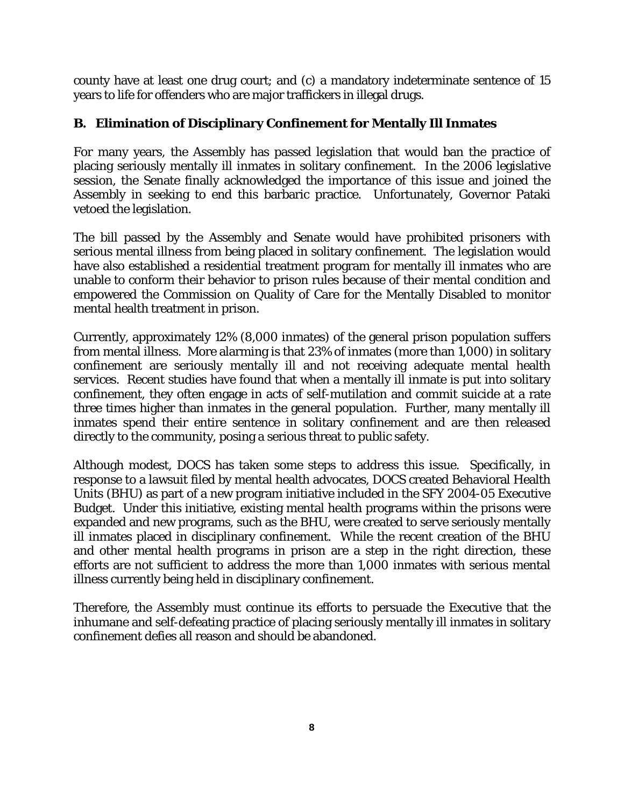county have at least one drug court; and (c) a mandatory indeterminate sentence of 15 years to life for offenders who are major traffickers in illegal drugs.

# **B. Elimination of Disciplinary Confinement for Mentally Ill Inmates**

For many years, the Assembly has passed legislation that would ban the practice of placing seriously mentally ill inmates in solitary confinement. In the 2006 legislative session, the Senate finally acknowledged the importance of this issue and joined the Assembly in seeking to end this barbaric practice. Unfortunately, Governor Pataki vetoed the legislation.

The bill passed by the Assembly and Senate would have prohibited prisoners with serious mental illness from being placed in solitary confinement. The legislation would have also established a residential treatment program for mentally ill inmates who are unable to conform their behavior to prison rules because of their mental condition and empowered the Commission on Quality of Care for the Mentally Disabled to monitor mental health treatment in prison.

Currently, approximately 12% (8,000 inmates) of the general prison population suffers from mental illness. More alarming is that 23% of inmates (more than 1,000) in solitary confinement are seriously mentally ill and not receiving adequate mental health services. Recent studies have found that when a mentally ill inmate is put into solitary confinement, they often engage in acts of self-mutilation and commit suicide at a rate three times higher than inmates in the general population. Further, many mentally ill inmates spend their entire sentence in solitary confinement and are then released directly to the community, posing a serious threat to public safety.

Although modest, DOCS has taken some steps to address this issue. Specifically, in response to a lawsuit filed by mental health advocates, DOCS created Behavioral Health Units (BHU) as part of a new program initiative included in the SFY 2004-05 Executive Budget. Under this initiative, existing mental health programs within the prisons were expanded and new programs, such as the BHU, were created to serve seriously mentally ill inmates placed in disciplinary confinement. While the recent creation of the BHU and other mental health programs in prison are a step in the right direction, these efforts are not sufficient to address the more than 1,000 inmates with serious mental illness currently being held in disciplinary confinement.

Therefore, the Assembly must continue its efforts to persuade the Executive that the inhumane and self-defeating practice of placing seriously mentally ill inmates in solitary confinement defies all reason and should be abandoned.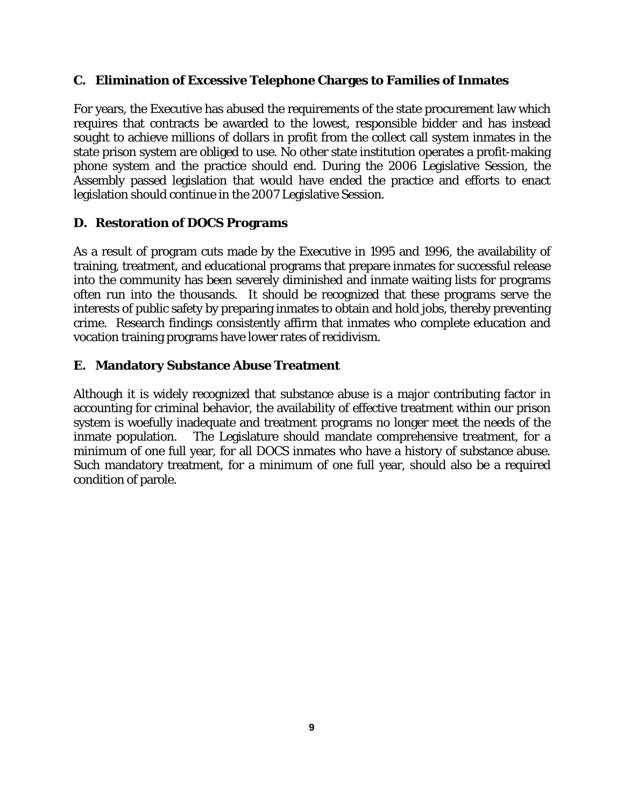#### **C. Elimination of Excessive Telephone Charges to Families of Inmates**

For years, the Executive has abused the requirements of the state procurement law which requires that contracts be awarded to the lowest, responsible bidder and has instead sought to achieve millions of dollars in profit from the collect call system inmates in the state prison system are obliged to use. No other state institution operates a profit-making phone system and the practice should end. During the 2006 Legislative Session, the Assembly passed legislation that would have ended the practice and efforts to enact legislation should continue in the 2007 Legislative Session.

#### **D. Restoration of DOCS Programs**

As a result of program cuts made by the Executive in 1995 and 1996, the availability of training, treatment, and educational programs that prepare inmates for successful release into the community has been severely diminished and inmate waiting lists for programs often run into the thousands. It should be recognized that these programs serve the interests of public safety by preparing inmates to obtain and hold jobs, thereby preventing crime. Research findings consistently affirm that inmates who complete education and vocation training programs have lower rates of recidivism.

#### **E. Mandatory Substance Abuse Treatment**

Although it is widely recognized that substance abuse is a major contributing factor in accounting for criminal behavior, the availability of effective treatment within our prison system is woefully inadequate and treatment programs no longer meet the needs of the inmate population. The Legislature should mandate comprehensive treatment, for a minimum of one full year, for all DOCS inmates who have a history of substance abuse. Such mandatory treatment, for a minimum of one full year, should also be a required condition of parole.